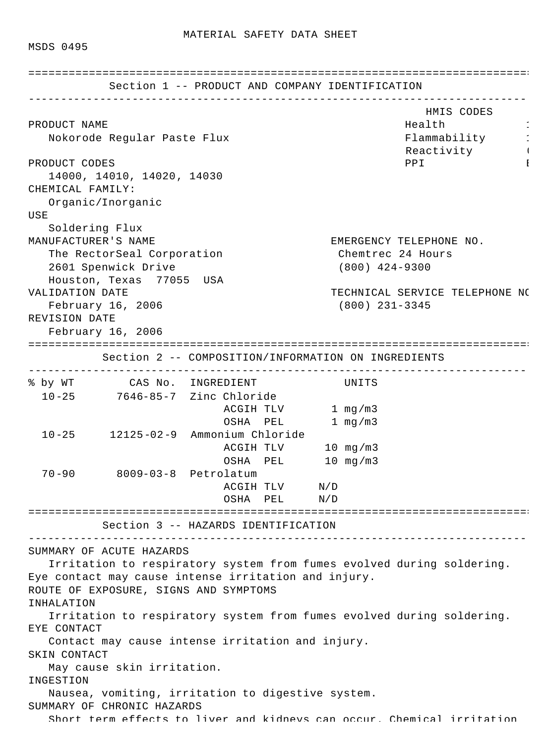MSDS 0495

|                  | Section 1 -- PRODUCT AND COMPANY IDENTIFICATION                                                                           | ___________________________ |           |                                       |                  |                                                                        |
|------------------|---------------------------------------------------------------------------------------------------------------------------|-----------------------------|-----------|---------------------------------------|------------------|------------------------------------------------------------------------|
| PRODUCT NAME     | Nokorode Regular Paste Flux                                                                                               |                             |           |                                       |                  | HMIS CODES<br>Health<br>Flammability                                   |
| PRODUCT CODES    | 14000, 14010, 14020, 14030                                                                                                |                             |           |                                       |                  | Reactivity Products<br>PPI<br>1                                        |
| CHEMICAL FAMILY: | Organic/Inorganic                                                                                                         |                             |           |                                       |                  |                                                                        |
| USE              |                                                                                                                           |                             |           |                                       |                  |                                                                        |
|                  | Soldering Flux                                                                                                            |                             |           |                                       |                  |                                                                        |
|                  | MANUFACTURER'S NAME                                                                                                       |                             |           | EMERGENCY TELEPHONE NO.               |                  |                                                                        |
|                  | The RectorSeal Corporation<br>2601 Spenwick Drive                                                                         |                             |           | Chemtrec 24 Hours<br>$(800)$ 424-9300 |                  |                                                                        |
|                  | Houston, Texas 77055 USA                                                                                                  |                             |           |                                       |                  |                                                                        |
| VALIDATION DATE  |                                                                                                                           |                             |           |                                       |                  | TECHNICAL SERVICE TELEPHONE NO                                         |
|                  | February 16, 2006                                                                                                         |                             |           |                                       | $(800)$ 231-3345 |                                                                        |
| REVISION DATE    |                                                                                                                           |                             |           |                                       |                  |                                                                        |
|                  | February 16, 2006                                                                                                         |                             |           |                                       |                  |                                                                        |
| =============    |                                                                                                                           |                             |           |                                       |                  |                                                                        |
|                  | Section 2 -- COMPOSITION/INFORMATION ON INGREDIENTS                                                                       |                             |           |                                       |                  |                                                                        |
|                  | % by WT CAS No. INGREDIENT                                                                                                |                             |           |                                       | UNITS            |                                                                        |
|                  | 10-25 7646-85-7 Zinc Chloride                                                                                             |                             |           |                                       |                  |                                                                        |
|                  |                                                                                                                           |                             |           | ACGIH TLV 1 mg/m3                     |                  |                                                                        |
|                  |                                                                                                                           |                             |           | OSHA PEL 1 mg/m3                      |                  |                                                                        |
|                  | 10-25 12125-02-9 Ammonium Chloride                                                                                        |                             |           |                                       |                  |                                                                        |
|                  |                                                                                                                           |                             |           | ACGIH TLV 10 mg/m3                    |                  |                                                                        |
|                  |                                                                                                                           |                             |           | OSHA PEL 10 mg/m3                     |                  |                                                                        |
|                  | 70-90 8009-03-8 Petrolatum                                                                                                |                             |           |                                       |                  |                                                                        |
|                  |                                                                                                                           |                             | ACGIH TLV | $\rm N/D$                             |                  |                                                                        |
|                  |                                                                                                                           |                             |           | OSHA PEL N/D                          |                  |                                                                        |
|                  | Section 3 -- HAZARDS IDENTIFICATION                                                                                       |                             |           |                                       |                  |                                                                        |
|                  |                                                                                                                           |                             |           |                                       |                  |                                                                        |
| INHALATION       | SUMMARY OF ACUTE HAZARDS<br>Eye contact may cause intense irritation and injury.<br>ROUTE OF EXPOSURE, SIGNS AND SYMPTOMS |                             |           |                                       |                  | Irritation to respiratory system from fumes evolved during soldering.  |
|                  |                                                                                                                           |                             |           |                                       |                  | Irritation to respiratory system from fumes evolved during soldering.  |
| EYE CONTACT      |                                                                                                                           |                             |           |                                       |                  |                                                                        |
|                  | Contact may cause intense irritation and injury.                                                                          |                             |           |                                       |                  |                                                                        |
| SKIN CONTACT     |                                                                                                                           |                             |           |                                       |                  |                                                                        |
|                  | May cause skin irritation.                                                                                                |                             |           |                                       |                  |                                                                        |
| INGESTION        |                                                                                                                           |                             |           |                                       |                  |                                                                        |
|                  | Nausea, vomiting, irritation to digestive system.                                                                         |                             |           |                                       |                  |                                                                        |
|                  | SUMMARY OF CHRONIC HAZARDS                                                                                                |                             |           |                                       |                  |                                                                        |
|                  |                                                                                                                           |                             |           |                                       |                  | Short term effects to liver and kidneys can occur. Chemical irritation |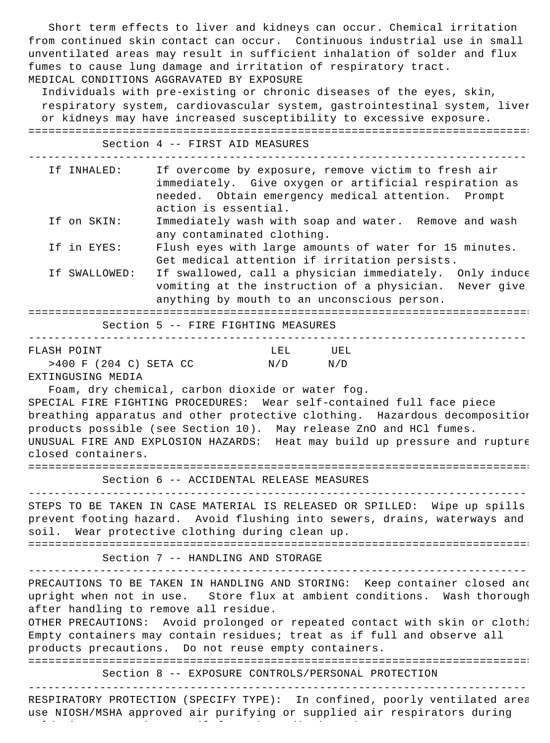Short term effects to liver and kidneys can occur. Chemical irritation from continued skin contact can occur. Continuous industrial use in small unventilated areas may result in sufficient inhalation of solder and flux fumes to cause lung damage and irritation of respiratory tract. MEDICAL CONDITIONS AGGRAVATED BY EXPOSURE

 Individuals with pre-existing or chronic diseases of the eyes, skin, respiratory system, cardiovascular system, gastrointestinal system, liver or kidneys may have increased susceptibility to excessive exposure. =============================================================================

Section 4 -- FIRST AID MEASURES

| Tf INHALED:   | If overcome by exposure, remove victim to fresh air<br>immediately. Give oxygen or artificial respiration as<br>needed. Obtain emergency medical attention. Prompt<br>action is essential. |
|---------------|--------------------------------------------------------------------------------------------------------------------------------------------------------------------------------------------|
| If on SKIN:   | Immediately wash with soap and water. Remove and wash                                                                                                                                      |
|               | any contaminated clothing.                                                                                                                                                                 |
| If in EYES:   | Flush eyes with large amounts of water for 15 minutes.<br>Get medical attention if irritation persists.                                                                                    |
|               |                                                                                                                                                                                            |
| If SWALLOWED: | If swallowed, call a physician immediately. Only induce                                                                                                                                    |
|               | vomiting at the instruction of a physician. Never give                                                                                                                                     |
|               | anything by mouth to an unconscious person.                                                                                                                                                |
|               |                                                                                                                                                                                            |

Section 5 -- FIRE FIGHTING MEASURES

| FLASH POINT              | LEL         | UEL |  |  |
|--------------------------|-------------|-----|--|--|
| $>400$ F (204 C) SETA CC | $N/D$ $N/D$ |     |  |  |
| ______________           |             |     |  |  |

EXTINGUSING MEDIA

 Foam, dry chemical, carbon dioxide or water fog. SPECIAL FIRE FIGHTING PROCEDURES: Wear self-contained full face piece breathing apparatus and other protective clothing. Hazardous decomposition products possible (see Section 10). May release ZnO and HCl fumes. UNUSUAL FIRE AND EXPLOSION HAZARDS: Heat may build up pressure and rupture closed containers.

============================================================================= Section 6 -- ACCIDENTAL RELEASE MEASURES -----------------------------------------------------------------------------

STEPS TO BE TAKEN IN CASE MATERIAL IS RELEASED OR SPILLED: Wipe up spills prevent footing hazard. Avoid flushing into sewers, drains, waterways and soil. Wear protective clothing during clean up.

============================================================================= Section 7 -- HANDLING AND STORAGE

-----------------------------------------------------------------------------

PRECAUTIONS TO BE TAKEN IN HANDLING AND STORING: Keep container closed and upright when not in use. Store flux at ambient conditions. Wash thorough after handling to remove all residue.

OTHER PRECAUTIONS: Avoid prolonged or repeated contact with skin or cloth: Empty containers may contain residues; treat as if full and observe all products precautions. Do not reuse empty containers.

=============================================================================

Section 8 -- EXPOSURE CONTROLS/PERSONAL PROTECTION

-----------------------------------------------------------------------------

RESPIRATORY PROTECTION (SPECIFY TYPE): In confined, poorly ventilated area use NIOSH/MSHA approved air purifying or supplied air respirators during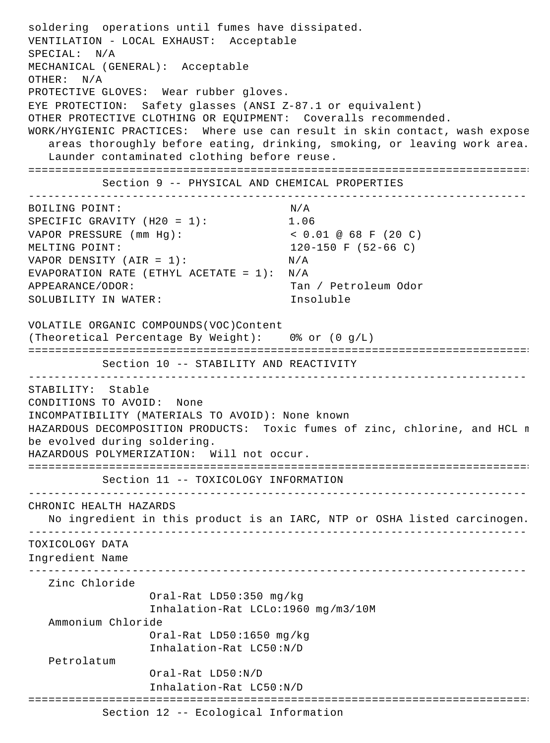```
soldering operations until fumes have dissipated.
VENTILATION - LOCAL EXHAUST: Acceptable
SPECIAL: N/A
MECHANICAL (GENERAL): Acceptable
OTHER: N/A
PROTECTIVE GLOVES: Wear rubber gloves.
EYE PROTECTION: Safety glasses (ANSI Z-87.1 or equivalent)
OTHER PROTECTIVE CLOTHING OR EQUIPMENT: Coveralls recommended.
WORK/HYGIENIC PRACTICES: Where use can result in skin contact, wash expose
   areas thoroughly before eating, drinking, smoking, or leaving work area.
   Launder contaminated clothing before reuse.
=============================================================================
           Section 9 -- PHYSICAL AND CHEMICAL PROPERTIES
-----------------------------------------------------------------------------
BOILING POINT: N/A
SPECIFIC GRAVITY (H20 = 1): 1.06
VAPOR PRESSURE (mm Hg): < 0.01 @ 68 F (20 C)
MELTING POINT: 120-150 F (52-66 C)
VAPOR DENSITY (AIR = 1): N/AEVAPORATION RATE (ETHYL ACETATE = 1): N/A
APPEARANCE/ODOR: Tan / Petroleum Odor
SOLUBILITY IN WATER: Insoluble
VOLATILE ORGANIC COMPOUNDS(VOC)Content
(Theoretical Percentage By Weight): 0% or (0 g/L)
=============================================================================
          Section 10 -- STABILITY AND REACTIVITY
 -----------------------------------------------------------------------------
STABILITY: Stable
CONDITIONS TO AVOID: None
INCOMPATIBILITY (MATERIALS TO AVOID): None known
HAZARDOUS DECOMPOSITION PRODUCTS: Toxic fumes of zinc, chlorine, and HCL n
be evolved during soldering.
HAZARDOUS POLYMERIZATION: Will not occur.
=============================================================================
          Section 11 -- TOXICOLOGY INFORMATION
-----------------------------------------------------------------------------
CHRONIC HEALTH HAZARDS
   No ingredient in this product is an IARC, NTP or OSHA listed carcinogen.
-----------------------------------------------------------------------------
TOXICOLOGY DATA
Ingredient Name
-----------------------------------------------------------------------------
    Zinc Chloride 
                  Oral-Rat LD50:350 mg/kg
                  Inhalation-Rat LCLo:1960 mg/m3/10M
   Ammonium Chloride 
                  Oral-Rat LD50:1650 mg/kg
                  Inhalation-Rat LC50:N/D
   Petrolatum 
                  Oral-Rat LD50:N/D
                  Inhalation-Rat LC50:N/D
=============================================================================
           Section 12 -- Ecological Information
```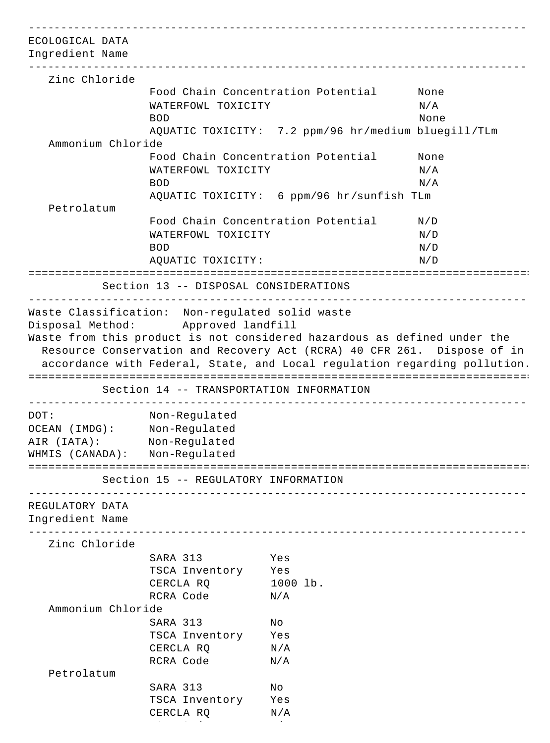| ECOLOGICAL DATA<br>Ingredient Name |                                          |                                                                                                                                                                                                                                  |                                |
|------------------------------------|------------------------------------------|----------------------------------------------------------------------------------------------------------------------------------------------------------------------------------------------------------------------------------|--------------------------------|
| Zinc Chloride                      |                                          |                                                                                                                                                                                                                                  |                                |
|                                    |                                          | Food Chain Concentration Potential                                                                                                                                                                                               | None                           |
|                                    | WATERFOWL TOXICITY                       |                                                                                                                                                                                                                                  | N/A                            |
|                                    | <b>BOD</b>                               |                                                                                                                                                                                                                                  | None                           |
|                                    |                                          | AQUATIC TOXICITY: 7.2 ppm/96 hr/medium bluegill/TLm                                                                                                                                                                              |                                |
| Ammonium Chloride                  |                                          |                                                                                                                                                                                                                                  |                                |
|                                    |                                          | Food Chain Concentration Potential                                                                                                                                                                                               | None                           |
|                                    | WATERFOWL TOXICITY                       |                                                                                                                                                                                                                                  | N/A                            |
|                                    | <b>BOD</b>                               |                                                                                                                                                                                                                                  | N/A                            |
|                                    |                                          | AQUATIC TOXICITY: 6 ppm/96 hr/sunfish TLm                                                                                                                                                                                        |                                |
| Petrolatum                         |                                          |                                                                                                                                                                                                                                  |                                |
|                                    |                                          | Food Chain Concentration Potential                                                                                                                                                                                               | N/D                            |
|                                    | WATERFOWL TOXICITY                       |                                                                                                                                                                                                                                  | N/D                            |
|                                    | <b>BOD</b>                               |                                                                                                                                                                                                                                  | N/D                            |
|                                    | AQUATIC TOXICITY:                        |                                                                                                                                                                                                                                  | N/D                            |
|                                    |                                          |                                                                                                                                                                                                                                  |                                |
|                                    | Section 13 -- DISPOSAL CONSIDERATIONS    |                                                                                                                                                                                                                                  | ______________________________ |
|                                    | Disposal Method: Approved landfill       | Waste from this product is not considered hazardous as defined under the<br>Resource Conservation and Recovery Act (RCRA) 40 CFR 261. Dispose of in<br>accordance with Federal, State, and Local regulation regarding pollution. |                                |
|                                    | Section 14 -- TRANSPORTATION INFORMATION |                                                                                                                                                                                                                                  |                                |
| DOT:                               | Non-Regulated                            |                                                                                                                                                                                                                                  |                                |
| OCEAN (IMDG): Non-Regulated        |                                          |                                                                                                                                                                                                                                  |                                |
| AIR (IATA):                        | Non-Regulated                            |                                                                                                                                                                                                                                  |                                |
| WHMIS (CANADA): Non-Regulated      |                                          |                                                                                                                                                                                                                                  |                                |
|                                    |                                          |                                                                                                                                                                                                                                  |                                |
|                                    | Section 15 -- REGULATORY INFORMATION     |                                                                                                                                                                                                                                  |                                |
| REGULATORY DATA<br>Ingredient Name |                                          |                                                                                                                                                                                                                                  |                                |
| Zinc Chloride                      |                                          |                                                                                                                                                                                                                                  |                                |
|                                    | SARA 313                                 | Yes                                                                                                                                                                                                                              |                                |
|                                    | TSCA Inventory Yes                       |                                                                                                                                                                                                                                  |                                |
|                                    | CERCLA RQ                                | 1000 lb.                                                                                                                                                                                                                         |                                |
|                                    | RCRA Code                                | N/A                                                                                                                                                                                                                              |                                |
| Ammonium Chloride                  |                                          |                                                                                                                                                                                                                                  |                                |
|                                    | SARA 313                                 | Νo                                                                                                                                                                                                                               |                                |
|                                    | TSCA Inventory Yes                       |                                                                                                                                                                                                                                  |                                |
|                                    | CERCLA RQ                                | N/A                                                                                                                                                                                                                              |                                |
|                                    | RCRA Code                                | N/A                                                                                                                                                                                                                              |                                |
| Petrolatum                         |                                          |                                                                                                                                                                                                                                  |                                |
|                                    | SARA 313                                 | No                                                                                                                                                                                                                               |                                |
|                                    | TSCA Inventory                           | Yes                                                                                                                                                                                                                              |                                |
|                                    | CERCLA RQ                                | N/A                                                                                                                                                                                                                              |                                |
|                                    |                                          |                                                                                                                                                                                                                                  |                                |